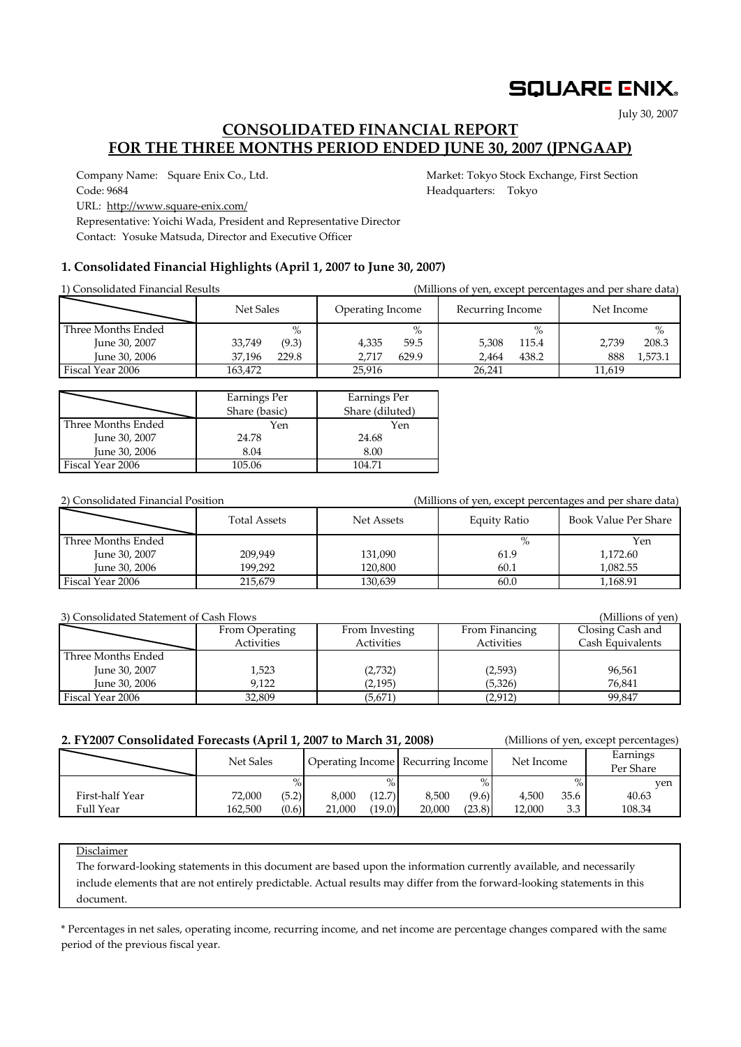## **SQUARE ENIX.**

July 30, 2007

## **CONSOLIDATED FINANCIAL REPORT FOR THE THREE MONTHS PERIOD ENDED JUNE 30, 2007 (JPNGAAP)**

Company Name: Square Enix Co., Ltd. Market: Tokyo Stock Exchange, First Section Code: 9684 **Headquarters:** Tokyo

URL: http://www.square-enix.com/

Representative: Yoichi Wada, President and Representative Director Contact: Yosuke Matsuda, Director and Executive Officer

### **1. Consolidated Financial Highlights (April 1, 2007 to June 30, 2007)**

| 1) Consolidated Financial Results |                 |                  | (Millions of yen, except percentages and per share data) |                |  |
|-----------------------------------|-----------------|------------------|----------------------------------------------------------|----------------|--|
|                                   | Net Sales       | Operating Income | Recurring Income                                         | Net Income     |  |
| Three Months Ended                | $\%$            | $\%$             | $\%$                                                     | $\%$           |  |
| June 30, 2007                     | 33.749<br>(9.3) | 4,335<br>59.5    | 5,308<br>115.4                                           | 208.3<br>2.739 |  |
| June 30, 2006                     | 229.8<br>37.196 | 629.9<br>2.717   | 438.2<br>2.464                                           | 1,573.1<br>888 |  |
| Fiscal Year 2006                  | 163.472         | 25.916           | 26.241                                                   | 11,619         |  |

|                    | Earnings Per<br>Share (basic) | Earnings Per<br>Share (diluted) |
|--------------------|-------------------------------|---------------------------------|
| Three Months Ended | Yen                           | Yen                             |
| June 30, 2007      | 24.78                         | 24.68                           |
| June 30, 2006      | 8.04                          | 8.00                            |
| Fiscal Year 2006   | 105.06                        | 104.71                          |

| 2) Consolidated Financial Position |              |            |              | (Millions of yen, except percentages and per share data) |
|------------------------------------|--------------|------------|--------------|----------------------------------------------------------|
|                                    | Total Assets | Net Assets | Equity Ratio | Book Value Per Share                                     |
| Three Months Ended                 |              |            | $\%$         | Yen                                                      |
| June 30, 2007                      | 209.949      | 131,090    | 61.9         | 1,172.60                                                 |
| June 30, 2006                      | 199.292      | 120.800    | 60.1         | 1,082.55                                                 |
| Fiscal Year 2006                   | 215.679      | 130,639    | 60.0         | 1,168.91                                                 |

| 3) Consolidated Statement of Cash Flows |                |                   |                   |                  |  |  |  |  |  |
|-----------------------------------------|----------------|-------------------|-------------------|------------------|--|--|--|--|--|
|                                         | From Operating | From Investing    | From Financing    | Closing Cash and |  |  |  |  |  |
|                                         | Activities     | <b>Activities</b> | <b>Activities</b> | Cash Equivalents |  |  |  |  |  |
| Three Months Ended                      |                |                   |                   |                  |  |  |  |  |  |
| June 30, 2007                           | 1,523          | (2,732)           | (2,593)           | 96,561           |  |  |  |  |  |
| June 30, 2006                           | 9.122          | (2, 195)          | (5,326)           | 76.841           |  |  |  |  |  |
| Fiscal Year 2006                        | 32,809         | (5,671)           | (2, 912)          | 99.847           |  |  |  |  |  |

### **2. FY2007 Consolidated Forecasts (April 1, 2007 to March 31, 2008)** (Millions of yen, except percentages)

|                 | Net Sales |       | Operating Income Recurring Income |        |        |        | Net Income |      | Earnings<br>Per Share |  |
|-----------------|-----------|-------|-----------------------------------|--------|--------|--------|------------|------|-----------------------|--|
|                 |           | $\%$  |                                   |        |        | $\%$   |            | $\%$ | ven                   |  |
| First-half Year | 72,000    | (5.2) | 8.000                             | (12.7) | 8.500  | (9.6)  | 4.500      | 35.6 | 40.63                 |  |
| Full Year       | 162.500   | (0.6) | 21,000                            | (19.0) | 20.000 | (23.8) | 12.000     | 3.3  | 108.34                |  |

Disclaimer

The forward-looking statements in this document are based upon the information currently available, and necessarily include elements that are not entirely predictable. Actual results may differ from the forward-looking statements in this document.

\* Percentages in net sales, operating income, recurring income, and net income are percentage changes compared with the same period of the previous fiscal year.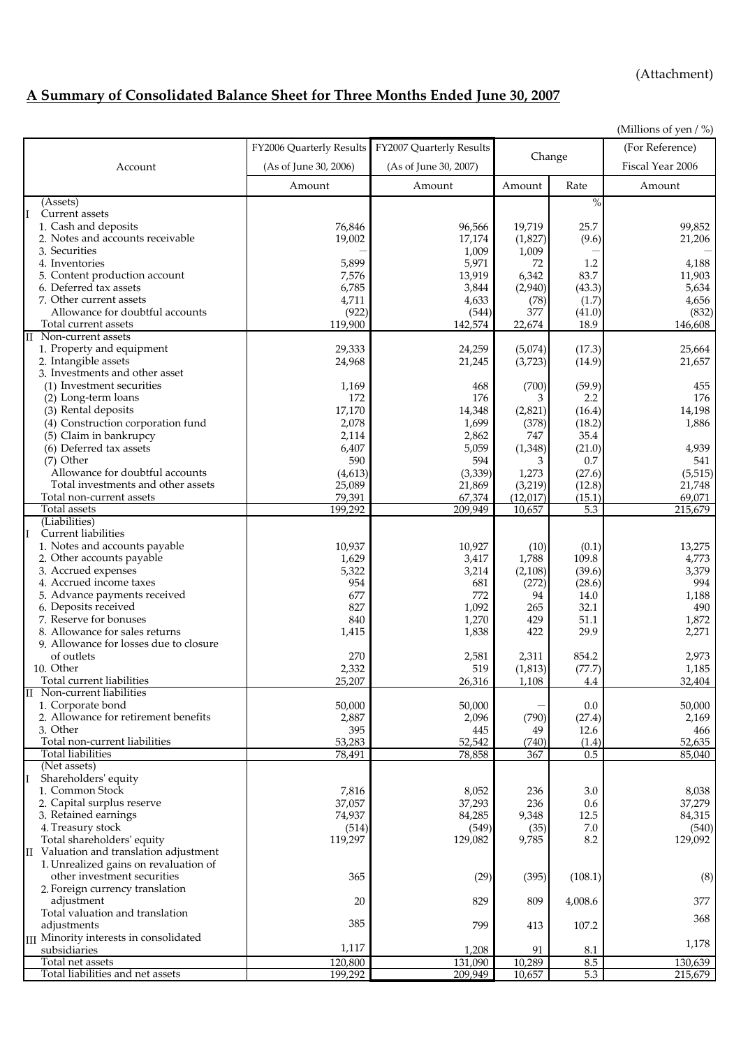(Attachment)

# **A Summary of Consolidated Balance Sheet for Three Months Ended June 30, 2007**

|                                                        |                          |                          |                   |               | (Millions of yen $/$ %) |
|--------------------------------------------------------|--------------------------|--------------------------|-------------------|---------------|-------------------------|
|                                                        | FY2006 Quarterly Results | FY2007 Quarterly Results |                   |               | (For Reference)         |
| Account                                                | (As of June 30, 2006)    | (As of June 30, 2007)    |                   | Change        | Fiscal Year 2006        |
|                                                        | Amount                   | Amount                   | Amount            | Rate          | Amount                  |
| (Assets)                                               |                          |                          |                   | $\%$          |                         |
| Current assets<br>II                                   |                          |                          |                   |               |                         |
| 1. Cash and deposits                                   | 76,846                   | 96,566                   | 19,719            | 25.7          | 99,852                  |
| 2. Notes and accounts receivable                       | 19,002                   | 17,174                   | (1,827)           | (9.6)         | 21,206                  |
| 3. Securities                                          |                          | 1,009                    | 1,009             |               |                         |
| 4. Inventories                                         | 5,899                    | 5,971                    | 72                | 1.2           | 4,188                   |
| 5. Content production account                          | 7,576                    | 13,919                   | 6,342             | 83.7          | 11,903                  |
| 6. Deferred tax assets                                 | 6,785                    | 3,844                    | (2,940)           | (43.3)        | 5,634                   |
| 7. Other current assets                                | 4,711                    | 4,633                    | (78)              | (1.7)         | 4,656                   |
| Allowance for doubtful accounts                        | (922)                    | (544)                    | 377               | (41.0)        | (832)                   |
| Total current assets                                   | 119,900                  | 142,574                  | 22,674            | 18.9          | 146,608                 |
| II Non-current assets                                  |                          |                          |                   |               |                         |
| 1. Property and equipment                              | 29,333                   | 24,259                   | (5,074)           | (17.3)        | 25,664                  |
| 2. Intangible assets<br>3. Investments and other asset | 24,968                   | 21,245                   | (3,723)           | (14.9)        | 21,657                  |
| (1) Investment securities                              | 1,169                    | 468                      |                   | (59.9)        | 455                     |
| (2) Long-term loans                                    | 172                      | 176                      | (700)<br>3        | 2.2           | 176                     |
| (3) Rental deposits                                    | 17,170                   | 14,348                   | (2,821)           | (16.4)        | 14,198                  |
| (4) Construction corporation fund                      | 2,078                    | 1,699                    | (378)             | (18.2)        | 1,886                   |
| (5) Claim in bankrupcy                                 | 2,114                    | 2,862                    | 747               | 35.4          |                         |
| (6) Deferred tax assets                                | 6,407                    | 5,059                    | (1,348)           | (21.0)        | 4,939                   |
| (7) Other                                              | 590                      | 594                      | 3                 | 0.7           | 541                     |
| Allowance for doubtful accounts                        | (4, 613)                 | (3, 339)                 | 1,273             | (27.6)        | (5, 515)                |
| Total investments and other assets                     | 25,089                   | 21,869                   | (3,219)           | (12.8)        | 21,748                  |
| Total non-current assets                               | 79,391                   | 67,374                   | (12, 017)         | (15.1)        | 69,071                  |
| Total assets                                           | 199,292                  | 209,949                  | 10,657            | 5.3           | 215,679                 |
| (Liabilities)                                          |                          |                          |                   |               |                         |
| II<br>Current liabilities                              |                          |                          |                   |               |                         |
| 1. Notes and accounts payable                          | 10,937                   | 10,927                   | (10)              | (0.1)         | 13,275                  |
| 2. Other accounts payable                              | 1,629                    | 3,417                    | 1,788             | 109.8         | 4,773                   |
| 3. Accrued expenses                                    | 5,322                    | 3,214                    | (2,108)           | (39.6)        | 3,379                   |
| 4. Accrued income taxes                                | 954                      | 681                      | (272)             | (28.6)        | 994                     |
| 5. Advance payments received                           | 677                      | 772                      | 94                | 14.0          | 1,188                   |
| 6. Deposits received                                   | 827                      | 1,092                    | 265               | 32.1          | 490                     |
| 7. Reserve for bonuses                                 | 840                      | 1,270                    | 429               | 51.1          | 1,872                   |
| 8. Allowance for sales returns                         | 1,415                    | 1,838                    | 422               | 29.9          | 2,271                   |
| 9. Allowance for losses due to closure<br>of outlets   | 270                      |                          |                   |               |                         |
| 10. Other                                              | 2,332                    | 2,581                    | 2,311             | 854.2         | 2,973                   |
| Total current liabilities                              | 25,207                   | 519<br>26.316            | (1, 813)<br>1.108 | (77.7)<br>4.4 | 1,185<br>32,404         |
| II Non-current liabilities                             |                          |                          |                   |               |                         |
| 1. Corporate bond                                      | 50,000                   | 50,000                   |                   | $0.0\,$       | 50,000                  |
| 2. Allowance for retirement benefits                   | 2,887                    | 2,096                    | (790)             | (27.4)        | 2,169                   |
| 3. Other                                               | 395                      | 445                      | 49                | 12.6          | 466                     |
| Total non-current liabilities                          | 53,283                   | 52,542                   | (740)             | (1.4)         | 52,635                  |
| <b>Total liabilities</b>                               | 78,491                   | 78,858                   | 367               | 0.5           | 85,040                  |
| (Net assets)                                           |                          |                          |                   |               |                         |
| II<br>Shareholders' equity                             |                          |                          |                   |               |                         |
| 1. Common Stock                                        | 7,816                    | 8,052                    | 236               | 3.0           | 8,038                   |
| 2. Capital surplus reserve                             | 37,057                   | 37,293                   | 236               | 0.6           | 37,279                  |
| 3. Retained earnings                                   | 74,937                   | 84,285                   | 9,348             | 12.5          | 84,315                  |
| 4. Treasury stock                                      | (514)                    | (549)                    | (35)              | 7.0           | (540)                   |
| Total shareholders' equity                             | 119,297                  | 129,082                  | 9,785             | 8.2           | 129,092                 |
| II Valuation and translation adjustment                |                          |                          |                   |               |                         |
| 1. Unrealized gains on revaluation of                  |                          |                          |                   |               |                         |
| other investment securities                            | 365                      | (29)                     | (395)             | (108.1)       | (8)                     |
| 2. Foreign currency translation                        |                          |                          |                   |               |                         |
| adjustment                                             | 20                       | 829                      | 809               | 4,008.6       | 377                     |
| Total valuation and translation<br>adjustments         | 385                      | 799                      |                   |               | 368                     |
| III Minority interests in consolidated                 |                          |                          | 413               | 107.2         |                         |
| subsidiaries                                           | 1,117                    | 1,208                    | 91                | 8.1           | 1,178                   |
| Total net assets                                       | 120,800                  | 131,090                  | 10,289            | 8.5           | 130,639                 |
| Total liabilities and net assets                       | 199,292                  | 209,949                  | 10,657            | 5.3           | 215,679                 |
|                                                        |                          |                          |                   |               |                         |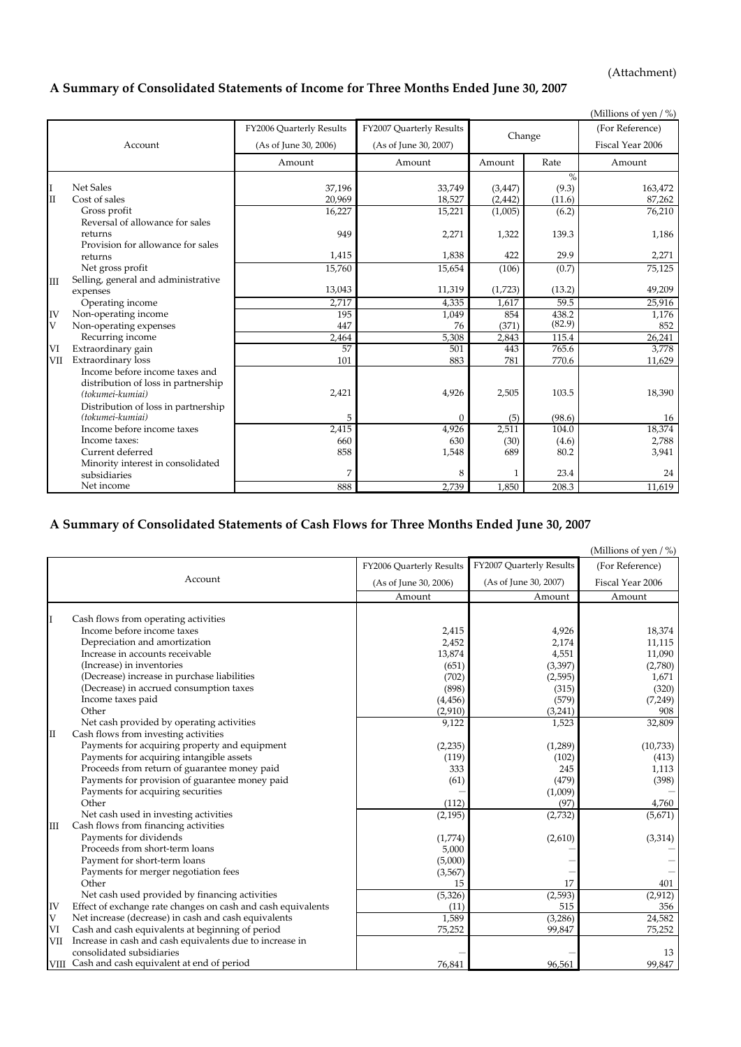(Attachment)

### **A Summary of Consolidated Statements of Income for Three Months Ended June 30, 2007**

|     |                                     |                          |                          |          |        | (Millions of yen $/$ %) |
|-----|-------------------------------------|--------------------------|--------------------------|----------|--------|-------------------------|
|     |                                     | FY2006 Quarterly Results | FY2007 Quarterly Results |          |        | (For Reference)         |
|     | Account                             | (As of June 30, 2006)    | (As of June 30, 2007)    | Change   |        | Fiscal Year 2006        |
|     |                                     | Amount                   | Amount                   | Amount   | Rate   | Amount                  |
|     |                                     |                          |                          |          | $\%$   |                         |
| I   | <b>Net Sales</b>                    | 37,196                   | 33,749                   | (3, 447) | (9.3)  | 163,472                 |
| II  | Cost of sales                       | 20,969                   | 18,527                   | (2, 442) | (11.6) | 87,262                  |
|     | Gross profit                        | 16,227                   | 15,221                   | (1,005)  | (6.2)  | 76,210                  |
|     | Reversal of allowance for sales     |                          |                          |          |        |                         |
|     | returns                             | 949                      | 2,271                    | 1,322    | 139.3  | 1,186                   |
|     | Provision for allowance for sales   |                          |                          |          |        |                         |
|     | returns                             | 1,415                    | 1,838                    | 422      | 29.9   | 2,271                   |
|     | Net gross profit                    | 15,760                   | 15,654                   | (106)    | (0.7)  | 75,125                  |
| III | Selling, general and administrative |                          |                          |          |        |                         |
|     | expenses                            | 13,043                   | 11,319                   | (1,723)  | (13.2) | 49,209                  |
|     | Operating income                    | 2,717                    | 4,335                    | 1,617    | 59.5   | 25,916                  |
| IV  | Non-operating income                | 195                      | 1,049                    | 854      | 438.2  | 1,176                   |
| V   | Non-operating expenses              | 447                      | 76                       | (371)    | (82.9) | 852                     |
|     | Recurring income                    | 2,464                    | 5,308                    | 2,843    | 115.4  | 26,241                  |
| VI  | Extraordinary gain                  | 57                       | 501                      | 443      | 765.6  | 3,778                   |
| VII | <b>Extraordinary loss</b>           | 101                      | 883                      | 781      | 770.6  | 11,629                  |
|     | Income before income taxes and      |                          |                          |          |        |                         |
|     | distribution of loss in partnership |                          |                          |          |        |                         |
|     | (tokumei-kumiai)                    | 2,421                    | 4,926                    | 2,505    | 103.5  | 18,390                  |
|     | Distribution of loss in partnership |                          |                          |          |        |                         |
|     | (tokumei-kumiai)                    | 5                        | $\theta$                 | (5)      | (98.6) | 16                      |
|     | Income before income taxes          | 2,415                    | 4,926                    | 2,511    | 104.0  | 18,374                  |
|     | Income taxes:                       | 660                      | 630                      | (30)     | (4.6)  | 2,788                   |
|     | Current deferred                    | 858                      | 1,548                    | 689      | 80.2   | 3,941                   |
|     | Minority interest in consolidated   |                          |                          |          |        |                         |
|     | subsidiaries                        | 7                        | 8                        | 1        | 23.4   | 24                      |
|     | Net income                          | 888                      | 2,739                    | 1,850    | 208.3  | 11,619                  |

## **A Summary of Consolidated Statements of Cash Flows for Three Months Ended June 30, 2007**

|              |                                                              |                          |                          | (Millions of yen / %) |
|--------------|--------------------------------------------------------------|--------------------------|--------------------------|-----------------------|
|              |                                                              | FY2006 Quarterly Results | FY2007 Quarterly Results | (For Reference)       |
|              | Account                                                      | (As of June 30, 2006)    | (As of June 30, 2007)    | Fiscal Year 2006      |
|              |                                                              | Amount                   | Amount                   | Amount                |
|              | Cash flows from operating activities                         |                          |                          |                       |
|              | Income before income taxes                                   | 2,415                    | 4,926                    | 18,374                |
|              | Depreciation and amortization                                | 2,452                    | 2,174                    | 11,115                |
|              | Increase in accounts receivable                              | 13,874                   | 4,551                    | 11,090                |
|              | (Increase) in inventories                                    | (651)                    | (3, 397)                 | (2,780)               |
|              | (Decrease) increase in purchase liabilities                  | (702)                    | (2,595)                  | 1,671                 |
|              | (Decrease) in accrued consumption taxes                      | (898)                    | (315)                    | (320)                 |
|              | Income taxes paid                                            | (4, 456)                 | (579)                    | (7, 249)              |
|              | Other                                                        | (2,910)                  | (3,241)                  | 908                   |
|              | Net cash provided by operating activities                    | 9,122                    | 1,523                    | 32,809                |
| $\mathbf{I}$ | Cash flows from investing activities                         |                          |                          |                       |
|              | Payments for acquiring property and equipment                | (2, 235)                 | (1,289)                  | (10, 733)             |
|              | Payments for acquiring intangible assets                     | (119)                    | (102)                    | (413)                 |
|              | Proceeds from return of guarantee money paid                 | 333                      | 245                      | 1,113                 |
|              | Payments for provision of guarantee money paid               | (61)                     | (479)                    | (398)                 |
|              | Payments for acquiring securities                            |                          | (1,009)                  |                       |
|              | Other                                                        | (112)                    | (97)                     | 4,760                 |
|              | Net cash used in investing activities                        | (2, 195)                 | (2,732)                  | (5,671)               |
| Ш            | Cash flows from financing activities                         |                          |                          |                       |
|              | Payments for dividends                                       | (1,774)                  | (2,610)                  | (3, 314)              |
|              | Proceeds from short-term loans                               | 5,000                    |                          |                       |
|              | Payment for short-term loans                                 | (5,000)                  |                          |                       |
|              | Payments for merger negotiation fees                         | (3,567)                  |                          |                       |
|              | Other                                                        | 15                       | 17                       | 401                   |
|              | Net cash used provided by financing activities               | (5, 326)                 | (2, 593)                 | (2,912)               |
| IV           | Effect of exchange rate changes on cash and cash equivalents | (11)                     | 515                      | 356                   |
| V            | Net increase (decrease) in cash and cash equivalents         | 1,589                    | (3,286)                  | 24,582                |
| VI           | Cash and cash equivalents at beginning of period             | 75,252                   | 99,847                   | 75,252                |
| VII          | Increase in cash and cash equivalents due to increase in     |                          |                          |                       |
|              | consolidated subsidiaries                                    |                          |                          | 13                    |
|              | VIII Cash and cash equivalent at end of period               | 76,841                   | 96,561                   | 99,847                |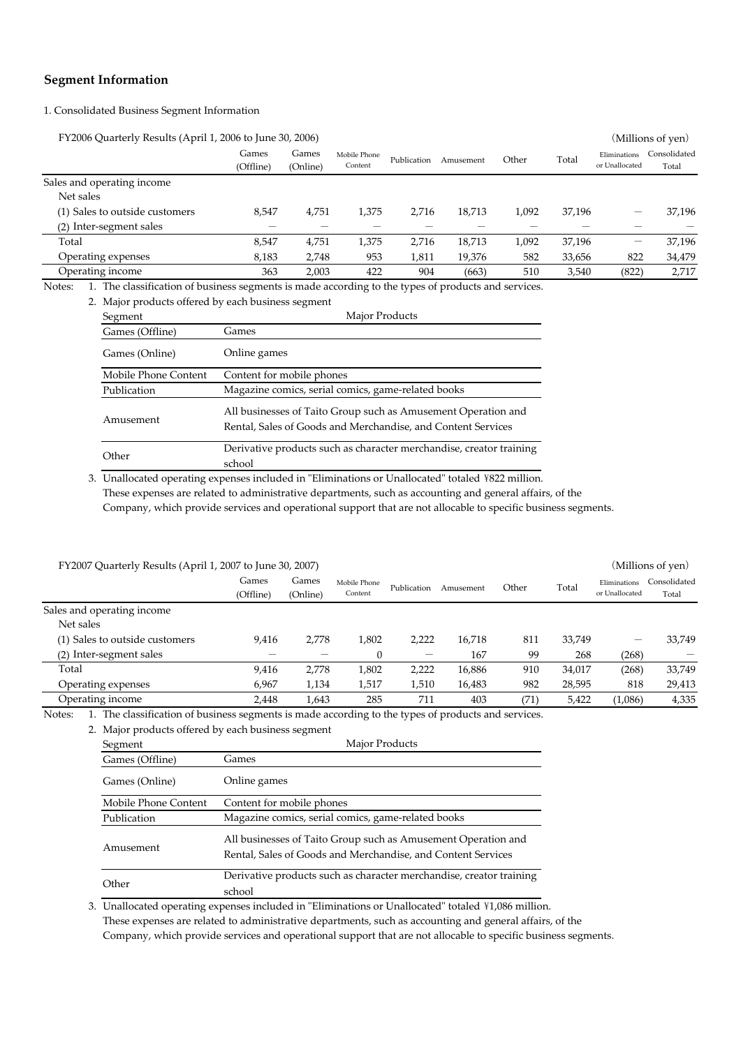### **Segment Information**

1. Consolidated Business Segment Information

FY2006 Quarterly Results (April 1, 2006 to June 30, 2006) (Millions of yen)

|                                                                                                                      | Games<br>(Offline) | Games<br>(Online) | Mobile Phone<br>Content | Publication | Amusement | Other | Total  | Eliminations<br>or Unallocated | Consolidated<br>Total |
|----------------------------------------------------------------------------------------------------------------------|--------------------|-------------------|-------------------------|-------------|-----------|-------|--------|--------------------------------|-----------------------|
| Sales and operating income                                                                                           |                    |                   |                         |             |           |       |        |                                |                       |
| Net sales                                                                                                            |                    |                   |                         |             |           |       |        |                                |                       |
| (1) Sales to outside customers                                                                                       | 8.547              | 4,751             | 1,375                   | 2.716       | 18,713    | 1.092 | 37,196 |                                | 37,196                |
| (2) Inter-segment sales                                                                                              |                    |                   |                         |             |           |       |        |                                |                       |
| Total                                                                                                                | 8,547              | 4,751             | 1,375                   | 2.716       | 18,713    | 1,092 | 37,196 | –                              | 37,196                |
| Operating expenses                                                                                                   | 8,183              | 2,748             | 953                     | 1,811       | 19,376    | 582   | 33,656 | 822                            | 34,479                |
| Operating income                                                                                                     | 363                | 2,003             | 422                     | 904         | (663)     | 510   | 3,540  | (822)                          | 2,717                 |
| Alerca (1919). Acceleration of Linear corresponds to a collected to realize the following distribution decomposition |                    |                   |                         |             |           |       |        |                                |                       |

Notes: 1. The classification of business segments is made according to the types of products and services.

|  | 2. Major products offered by each business segment |  |  |
|--|----------------------------------------------------|--|--|
|  |                                                    |  |  |

| Segment              | Major Products                                                                                                                |
|----------------------|-------------------------------------------------------------------------------------------------------------------------------|
| Games (Offline)      | Games                                                                                                                         |
| Games (Online)       | Online games                                                                                                                  |
| Mobile Phone Content | Content for mobile phones                                                                                                     |
| Publication          | Magazine comics, serial comics, game-related books                                                                            |
| Amusement            | All businesses of Taito Group such as Amusement Operation and<br>Rental, Sales of Goods and Merchandise, and Content Services |
| Other                | Derivative products such as character merchandise, creator training<br>school                                                 |
|                      |                                                                                                                               |

3. Unallocated operating expenses included in "Eliminations or Unallocated" totaled \822 million. Company, which provide services and operational support that are not allocable to specific business segments. These expenses are related to administrative departments, such as accounting and general affairs, of the

| FY2007 Quarterly Results (April 1, 2007 to June 30, 2007) |                    |                   |                         |             |           |       |        |                                | (Millions of yen)     |
|-----------------------------------------------------------|--------------------|-------------------|-------------------------|-------------|-----------|-------|--------|--------------------------------|-----------------------|
|                                                           | Games<br>(Offline) | Games<br>(Online) | Mobile Phone<br>Content | Publication | Amusement | Other | Total  | Eliminations<br>or Unallocated | Consolidated<br>Total |
| Sales and operating income                                |                    |                   |                         |             |           |       |        |                                |                       |
| Net sales                                                 |                    |                   |                         |             |           |       |        |                                |                       |
| (1) Sales to outside customers                            | 9.416              | 2.778             | 1,802                   | 2.222       | 16,718    | 811   | 33,749 | –                              | 33,749                |
| (2) Inter-segment sales                                   |                    |                   |                         |             | 167       | 99    | 268    | (268)                          |                       |
| Total                                                     | 9.416              | 2,778             | 1,802                   | 2,222       | 16,886    | 910   | 34,017 | (268)                          | 33,749                |
| Operating expenses                                        | 6,967              | 1,134             | 1,517                   | 1,510       | 16,483    | 982   | 28,595 | 818                            | 29,413                |
| Operating income                                          | 2.448              | 1.643             | 285                     | 711         | 403       | (71)  | 5.422  | (1,086)                        | 4,335                 |

Notes: 1. The classification of business segments is made according to the types of products and services.

2. Major products offered by each business segment

| Segment              | Major Products                                                                                                                |  |  |  |  |
|----------------------|-------------------------------------------------------------------------------------------------------------------------------|--|--|--|--|
| Games (Offline)      | Games                                                                                                                         |  |  |  |  |
| Games (Online)       | Online games                                                                                                                  |  |  |  |  |
| Mobile Phone Content | Content for mobile phones                                                                                                     |  |  |  |  |
| Publication          | Magazine comics, serial comics, game-related books                                                                            |  |  |  |  |
| Amusement            | All businesses of Taito Group such as Amusement Operation and<br>Rental, Sales of Goods and Merchandise, and Content Services |  |  |  |  |
| Other                | Derivative products such as character merchandise, creator training<br>school                                                 |  |  |  |  |

3. Unallocated operating expenses included in "Eliminations or Unallocated" totaled \1,086 million. These expenses are related to administrative departments, such as accounting and general affairs, of the Company, which provide services and operational support that are not allocable to specific business segments.